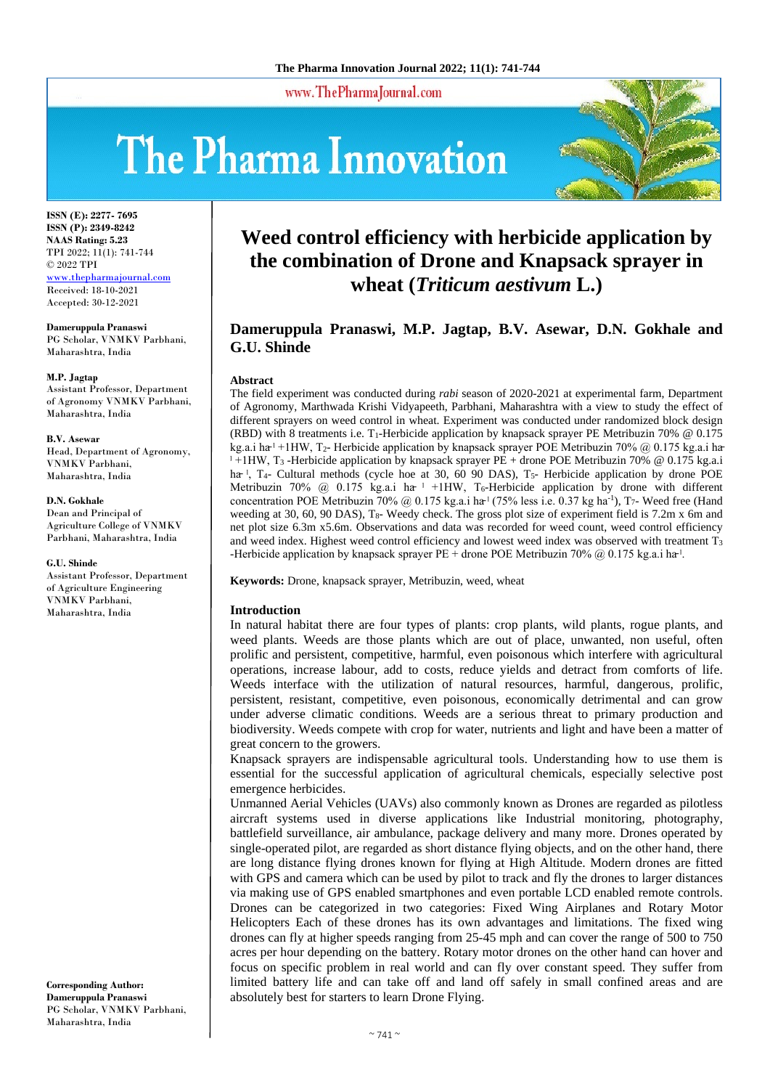www.ThePharmaJournal.com

# The Pharma Innovation



**ISSN (E): 2277- 7695 ISSN (P): 2349-8242 NAAS Rating: 5.23** TPI 2022; 11(1): 741-744 © 2022 TPI [www.thepharmajournal.com](http://www.thepharmajournal.com/) Received: 18-10-2021 Accepted: 30-12-2021

**Dameruppula Pranaswi** PG Scholar, VNMKV Parbhani, Maharashtra, India

**M.P. Jagtap** Assistant Professor, Department of Agronomy VNMKV Parbhani, Maharashtra, India

**B.V. Asewar** Head, Department of Agronomy, VNMKV Parbhani, Maharashtra, India

**D.N. Gokhale** Dean and Principal of Agriculture College of VNMKV Parbhani, Maharashtra, India

**G.U. Shinde** Assistant Professor, Department of Agriculture Engineering VNMKV Parbhani, Maharashtra, India

**Corresponding Author: Dameruppula Pranaswi** PG Scholar, VNMKV Parbhani, Maharashtra, India

# **Weed control efficiency with herbicide application by the combination of Drone and Knapsack sprayer in wheat (***Triticum aestivum* **L.)**

# **Dameruppula Pranaswi, M.P. Jagtap, B.V. Asewar, D.N. Gokhale and G.U. Shinde**

#### **Abstract**

The field experiment was conducted during *rabi* season of 2020-2021 at experimental farm, Department of Agronomy, Marthwada Krishi Vidyapeeth, Parbhani, Maharashtra with a view to study the effect of different sprayers on weed control in wheat. Experiment was conducted under randomized block design (RBD) with 8 treatments i.e. T1-Herbicide application by knapsack sprayer PE Metribuzin 70% @ 0.175 kg.a.i ha<sup> $1$ </sup> +1HW, T<sub>2</sub>- Herbicide application by knapsack sprayer POE Metribuzin 70% @ 0.175 kg.a.i ha <sup>1</sup> +1HW, T<sub>3</sub> -Herbicide application by knapsack sprayer PE + drone POE Metribuzin 70% @ 0.175 kg.a.i ha<sup>-1</sup>, T<sub>4</sub>- Cultural methods (cycle hoe at 30, 60 90 DAS), T<sub>5</sub>- Herbicide application by drone POE Metribuzin 70% @ 0.175 kg.a.i ha  $\perp$  +1HW, T<sub>6</sub>-Herbicide application by drone with different concentration POE Metribuzin 70% @ 0.175 kg.a.i ha<sup> $1$ </sup> (75% less i.e. 0.37 kg ha<sup>-1</sup>), T<sub>7</sub>- Weed free (Hand weeding at 30, 60, 90 DAS), T<sub>8</sub>- Weedy check. The gross plot size of experiment field is 7.2m x 6m and net plot size 6.3m x5.6m. Observations and data was recorded for weed count, weed control efficiency and weed index. Highest weed control efficiency and lowest weed index was observed with treatment  $T_3$ -Herbicide application by knapsack sprayer PE + drone POE Metribuzin 70% @ 0.175 kg.a.i ha- $\cdot$ 

**Keywords:** Drone, knapsack sprayer, Metribuzin, weed, wheat

## **Introduction**

In natural habitat there are four types of plants: crop plants, wild plants, rogue plants, and weed plants. Weeds are those plants which are out of place, unwanted, non useful, often prolific and persistent, competitive, harmful, even poisonous which interfere with agricultural operations, increase labour, add to costs, reduce yields and detract from comforts of life. Weeds interface with the utilization of natural resources, harmful, dangerous, prolific, persistent, resistant, competitive, even poisonous, economically detrimental and can grow under adverse climatic conditions. Weeds are a serious threat to primary production and biodiversity. Weeds compete with crop for water, nutrients and light and have been a matter of great concern to the growers.

Knapsack sprayers are indispensable agricultural tools. Understanding how to use them is essential for the successful application of agricultural chemicals, especially selective post emergence herbicides.

Unmanned Aerial Vehicles (UAVs) also commonly known as Drones are regarded as pilotless aircraft systems used in diverse applications like Industrial monitoring, photography, battlefield surveillance, air ambulance, package delivery and many more. Drones operated by single-operated pilot, are regarded as short distance flying objects, and on the other hand, there are long distance flying drones known for flying at High Altitude. Modern drones are fitted with GPS and camera which can be used by pilot to track and fly the drones to larger distances via making use of GPS enabled smartphones and even portable LCD enabled remote controls. Drones can be categorized in two categories: Fixed Wing Airplanes and Rotary Motor Helicopters Each of these drones has its own advantages and limitations. The fixed wing drones can fly at higher speeds ranging from 25-45 mph and can cover the range of 500 to 750 acres per hour depending on the battery. Rotary motor drones on the other hand can hover and focus on specific problem in real world and can fly over constant speed. They suffer from limited battery life and can take off and land off safely in small confined areas and are absolutely best for starters to learn Drone Flying.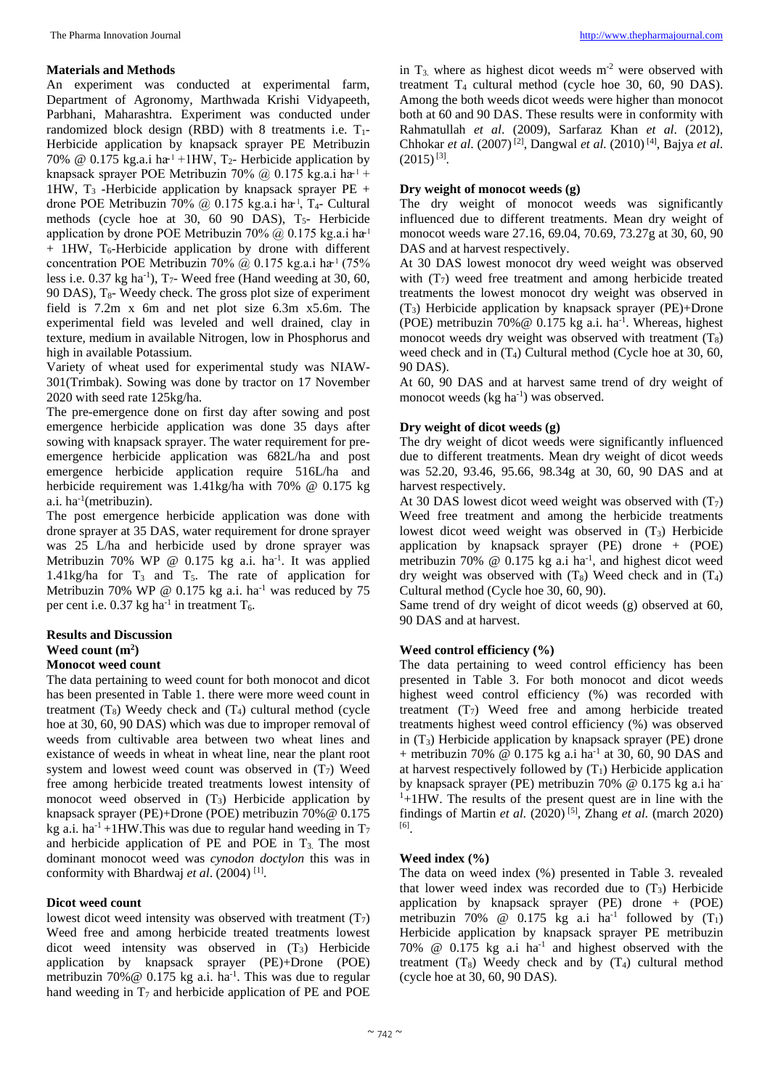#### **Materials and Methods**

An experiment was conducted at experimental farm, Department of Agronomy, Marthwada Krishi Vidyapeeth, Parbhani, Maharashtra. Experiment was conducted under randomized block design (RBD) with 8 treatments i.e.  $T_1$ -Herbicide application by knapsack sprayer PE Metribuzin 70% @ 0.175 kg.a.i ha<sup> $1$ </sup> +1HW, T<sub>2</sub>- Herbicide application by knapsack sprayer POE Metribuzin 70% @ 0.175 kg.a.i ha<sup>1</sup> + 1HW,  $T_3$  -Herbicide application by knapsack sprayer PE + drone POE Metribuzin 70% @ 0.175 kg.a.i ha<sup>1</sup>, T<sub>4</sub>- Cultural methods (cycle hoe at  $30, 60$  90 DAS),  $T_5$ - Herbicide application by drone POE Metribuzin 70% @ 0.175 kg.a.i ha<sup>1</sup>  $+$  1HW, T<sub>6</sub>-Herbicide application by drone with different concentration POE Metribuzin 70%  $\omega$  0.175 kg.a.i ha<sup>-1</sup> (75%) less i.e.  $0.37$  kg ha<sup>-1</sup>),  $T_7$ - Weed free (Hand weeding at 30, 60, 90 DAS),  $T_{8}$ - Weedy check. The gross plot size of experiment field is 7.2m x 6m and net plot size 6.3m x5.6m. The experimental field was leveled and well drained, clay in texture, medium in available Nitrogen, low in Phosphorus and high in available Potassium.

Variety of wheat used for experimental study was NIAW-301(Trimbak). Sowing was done by tractor on 17 November 2020 with seed rate 125kg/ha.

The pre-emergence done on first day after sowing and post emergence herbicide application was done 35 days after sowing with knapsack sprayer. The water requirement for preemergence herbicide application was 682L/ha and post emergence herbicide application require 516L/ha and herbicide requirement was 1.41kg/ha with 70% @ 0.175 kg a.i. ha<sup>-1</sup>(metribuzin).

The post emergence herbicide application was done with drone sprayer at 35 DAS, water requirement for drone sprayer was 25 L/ha and herbicide used by drone sprayer was Metribuzin 70% WP @ 0.175 kg a.i. ha<sup>-1</sup>. It was applied 1.41kg/ha for  $T_3$  and  $T_5$ . The rate of application for Metribuzin 70% WP @ 0.175 kg a.i. ha<sup>-1</sup> was reduced by 75 per cent i.e. 0.37 kg ha<sup>-1</sup> in treatment  $T_6$ .

#### **Results and Discussion Weed count (m2 ) Monocot weed count**

The data pertaining to weed count for both monocot and dicot has been presented in Table 1. there were more weed count in treatment  $(T_8)$  Weedy check and  $(T_4)$  cultural method (cycle hoe at 30, 60, 90 DAS) which was due to improper removal of weeds from cultivable area between two wheat lines and existance of weeds in wheat in wheat line, near the plant root system and lowest weed count was observed in  $(T<sub>7</sub>)$  Weed free among herbicide treated treatments lowest intensity of monocot weed observed in  $(T_3)$  Herbicide application by knapsack sprayer (PE)+Drone (POE) metribuzin 70%@ 0.175 kg a.i. ha<sup>-1</sup>+1HW. This was due to regular hand weeding in  $T_7$ and herbicide application of PE and POE in  $T_3$ . The most dominant monocot weed was *cynodon doctylon* this was in conformity with Bhardwaj *et al*. (2004) [1].

## **Dicot weed count**

lowest dicot weed intensity was observed with treatment  $(T<sub>7</sub>)$ Weed free and among herbicide treated treatments lowest dicot weed intensity was observed in (T3) Herbicide application by knapsack sprayer (PE)+Drone (POE) metribuzin 70%  $\omega$  0.175 kg a.i. ha<sup>-1</sup>. This was due to regular hand weeding in  $T_7$  and herbicide application of PE and POE

in  $T_3$  where as highest dicot weeds  $m<sup>2</sup>$  were observed with treatment T4 cultural method (cycle hoe 30, 60, 90 DAS). Among the both weeds dicot weeds were higher than monocot both at 60 and 90 DAS. These results were in conformity with Rahmatullah *et al*. (2009), Sarfaraz Khan *et al*. (2012), Chhokar *et al*. (2007) [2], Dangwal *et al.* (2010) [4], Bajya *et al*.  $(2015)^{[3]}$ .

# **Dry weight of monocot weeds (g)**

The dry weight of monocot weeds was significantly influenced due to different treatments. Mean dry weight of monocot weeds ware 27.16, 69.04, 70.69, 73.27g at 30, 60, 90 DAS and at harvest respectively.

At 30 DAS lowest monocot dry weed weight was observed with  $(T<sub>7</sub>)$  weed free treatment and among herbicide treated treatments the lowest monocot dry weight was observed in  $(T<sub>3</sub>)$  Herbicide application by knapsack sprayer (PE)+Drone (POE) metribuzin 70%  $@$  0.175 kg a.i. ha<sup>-1</sup>. Whereas, highest monocot weeds dry weight was observed with treatment  $(T_8)$ weed check and in  $(T_4)$  Cultural method (Cycle hoe at 30, 60, 90 DAS).

At 60, 90 DAS and at harvest same trend of dry weight of monocot weeds (kg ha<sup>-1</sup>) was observed.

# **Dry weight of dicot weeds (g)**

The dry weight of dicot weeds were significantly influenced due to different treatments. Mean dry weight of dicot weeds was 52.20, 93.46, 95.66, 98.34g at 30, 60, 90 DAS and at harvest respectively.

At 30 DAS lowest dicot weed weight was observed with  $(T<sub>7</sub>)$ Weed free treatment and among the herbicide treatments lowest dicot weed weight was observed in  $(T_3)$  Herbicide application by knapsack sprayer (PE) drone + (POE) metribuzin 70% @ 0.175 kg a.i ha<sup>-1</sup>, and highest dicot weed dry weight was observed with  $(T_8)$  Weed check and in  $(T_4)$ Cultural method (Cycle hoe 30, 60, 90).

Same trend of dry weight of dicot weeds (g) observed at 60, 90 DAS and at harvest.

## **Weed control efficiency (%)**

The data pertaining to weed control efficiency has been presented in Table 3. For both monocot and dicot weeds highest weed control efficiency (%) was recorded with treatment  $(T<sub>7</sub>)$  Weed free and among herbicide treated treatments highest weed control efficiency (%) was observed in  $(T_3)$  Herbicide application by knapsack sprayer (PE) drone + metribuzin 70% @ 0.175 kg a.i ha<sup>-1</sup> at 30, 60, 90 DAS and at harvest respectively followed by  $(T_1)$  Herbicide application by knapsack sprayer (PE) metribuzin 70% @ 0.175 kg a.i ha-1 +1HW. The results of the present quest are in line with the findings of Martin *et al.*  $(2020)$ <sup>[5]</sup>, Zhang *et al.* (march 2020) [6].

## **Weed index (%)**

The data on weed index (%) presented in Table 3. revealed that lower weed index was recorded due to  $(T_3)$  Herbicide application by knapsack sprayer (PE) drone + (POE) metribuzin 70% @ 0.175 kg a.i ha<sup>-1</sup> followed by  $(T_1)$ Herbicide application by knapsack sprayer PE metribuzin 70%  $\omega$  0.175 kg a.i ha<sup>-1</sup> and highest observed with the treatment  $(T_8)$  Weedy check and by  $(T_4)$  cultural method (cycle hoe at 30, 60, 90 DAS).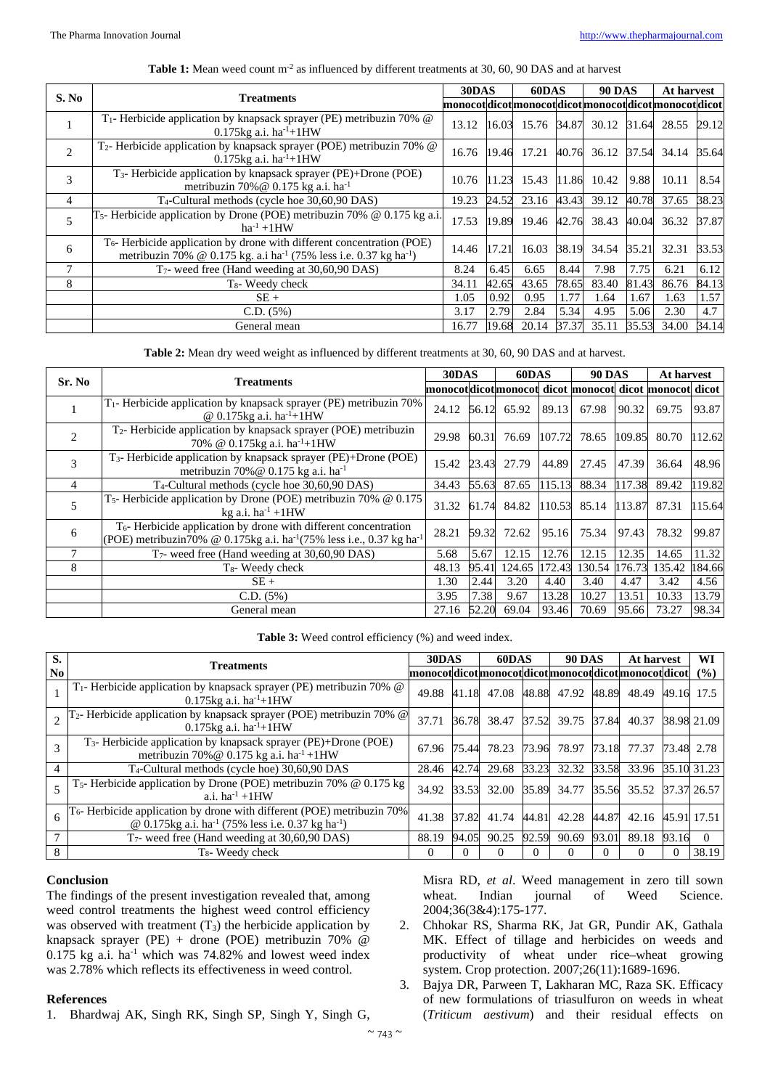| S. No        |                                                                                                                                                                                | 30DAS                                                  |       | 60DAS |       | <b>90 DAS</b>     |       | At harvest  |       |
|--------------|--------------------------------------------------------------------------------------------------------------------------------------------------------------------------------|--------------------------------------------------------|-------|-------|-------|-------------------|-------|-------------|-------|
|              | <b>Treatments</b>                                                                                                                                                              | monocotdicot monocot dicot monocot dicot monocot dicot |       |       |       |                   |       |             |       |
| $\mathbf{I}$ | T <sub>1</sub> - Herbicide application by knapsack sprayer (PE) metribuzin 70% @<br>0.175 $kg$ a.i. ha <sup>-1</sup> +1HW                                                      | 13.12                                                  | 16.03 |       |       | 15.76 34.87 30.12 | 31.64 | 28.55 29.12 |       |
| 2            | T <sub>2</sub> - Herbicide application by knapsack sprayer (POE) metribuzin 70% @<br>0.175 $kg$ a.i. ha <sup>-1</sup> +1HW                                                     | 16.76                                                  | 19.46 | 17.21 |       | 40.76 36.12       | 37.54 | 34.14 35.64 |       |
| 3            | T <sub>3</sub> - Herbicide application by knapsack sprayer (PE)+Drone (POE)<br>metribuzin 70% @ $0.175$ kg a.i. ha <sup>-1</sup>                                               | 10.76                                                  | 11.23 | 15.43 | 11.86 | 10.42             | 9.88  | 10.11       | 8.54  |
| 4            | T <sub>4</sub> -Cultural methods (cycle hoe 30,60,90 DAS)                                                                                                                      | 19.23                                                  | 24.52 | 23.16 | 43.43 | 39.12             | 40.78 | 37.65       | 38.23 |
| 5            | $T5$ - Herbicide application by Drone (POE) metribuzin 70% @ 0.175 kg a.i.<br>$ha^{-1} + 1HW$                                                                                  | 17.53                                                  | 19.89 | 19.46 | 42.76 | 38.43             | 40.04 | 36.32       | 37.87 |
| 6            | T <sub>6</sub> -Herbicide application by drone with different concentration (POE)<br>metribuzin 70% @ 0.175 kg. a.i ha <sup>-1</sup> (75% less i.e. 0.37 kg ha <sup>-1</sup> ) | 14.46                                                  | 17.21 | 16.03 | 38.19 | 34.54             | 35.21 | 32.31       | 33.53 |
|              | $T_7$ - weed free (Hand weeding at 30,60,90 DAS)                                                                                                                               | 8.24                                                   | 6.45  | 6.65  | 8.44  | 7.98              | 7.75  | 6.21        | 6.12  |
| 8            | $T_8$ - Weedy check                                                                                                                                                            | 34.11                                                  | 42.65 | 43.65 | 78.65 | 83.40             | 81.43 | 86.76       | 84.13 |
|              | $SE+$                                                                                                                                                                          | 1.05                                                   | 0.92  | 0.95  | 1.77  | 1.64              | 1.67  | 1.63        | 1.57  |
|              | C.D. (5%)                                                                                                                                                                      | 3.17                                                   | 2.79  | 2.84  | 5.34  | 4.95              | 5.06  | 2.30        | 4.7   |
|              | General mean                                                                                                                                                                   | 16.77                                                  | 19.68 | 20.14 | 37.37 | 35.11             | 35.53 | 34.00       | 34.14 |

#### **Table 1:** Mean weed count m<sup>-2</sup> as influenced by different treatments at 30, 60, 90 DAS and at harvest

**Table 2:** Mean dry weed weight as influenced by different treatments at 30, 60, 90 DAS and at harvest.

| Sr. No         | <b>Treatments</b>                                                                                                                                                            | 30DAS                                                 |       | 60DAS  |        | <b>90 DAS</b> |        | <b>At harvest</b> |        |
|----------------|------------------------------------------------------------------------------------------------------------------------------------------------------------------------------|-------------------------------------------------------|-------|--------|--------|---------------|--------|-------------------|--------|
|                |                                                                                                                                                                              | monocotdicotmonocot dicot monocot dicot monocot dicot |       |        |        |               |        |                   |        |
|                | T <sub>1</sub> - Herbicide application by knapsack sprayer (PE) metribuzin 70%<br>@ $0.175$ kg a.i. ha <sup>-1</sup> +1HW                                                    | 24.12                                                 | 56.12 | 65.92  | 89.13  | 67.98         | 90.32  | 69.75             | 93.87  |
| $\mathfrak{D}$ | $T_2$ - Herbicide application by knapsack sprayer (POE) metribuzin<br>70% @ 0.175kg a.i. ha <sup>-1</sup> +1HW                                                               | 29.98                                                 | 60.31 | 76.69  | 107.72 | 78.65         | 109.85 | 80.70             | 112.62 |
| $\mathcal{R}$  | T <sub>3</sub> - Herbicide application by knapsack sprayer (PE)+Drone (POE)<br>metribuzin 70% @ 0.175 kg a.i. ha <sup>-1</sup>                                               | 15.42                                                 | 23.43 | 27.79  | 44.89  | 27.45         | 47.39  | 36.64             | 48.96  |
| $\overline{4}$ | T <sub>4</sub> -Cultural methods (cycle hoe 30,60,90 DAS)                                                                                                                    | 34.43                                                 | 55.63 | 87.65  | 115.13 | 88.34         | 117.38 | 89.42             | 119.82 |
| 5              | $T_5$ - Herbicide application by Drone (POE) metribuzin 70% @ 0.175<br>kg a.i. $ha^{-1} + 1HW$                                                                               | 31.32                                                 | 61.74 | 84.82  |        | 110.53 85.14  |        | 113.87 87.31      | 115.64 |
| 6              | T <sub>6</sub> - Herbicide application by drone with different concentration<br>(POE) metribuzin70% @ 0.175kg a.i. ha <sup>-1</sup> (75% less i.e., 0.37 kg ha <sup>-1</sup> | 28.21                                                 | 59.32 | 72.62  | 95.16  | 75.34         | 97.43  | 78.32             | 99.87  |
|                | $T_7$ - weed free (Hand weeding at 30,60,90 DAS)                                                                                                                             | 5.68                                                  | 5.67  | 12.15  | 12.76  | 12.15         | 12.35  | 14.65             | 11.32  |
| 8              | $T_8$ - Weedy check                                                                                                                                                          | 48.13                                                 | 95.41 | 124.65 | 172.43 | 130.54 176.73 |        | 135.42            | 184.66 |
|                | $SE+$                                                                                                                                                                        | 1.30                                                  | 2.44  | 3.20   | 4.40   | 3.40          | 4.47   | 3.42              | 4.56   |
|                | C.D. (5%)                                                                                                                                                                    | 3.95                                                  | 7.38  | 9.67   | 13.28  | 10.27         | 13.51  | 10.33             | 13.79  |
|                | General mean                                                                                                                                                                 | 27.16                                                 | 52.20 | 69.04  | 93.46  | 70.69         | 95.66  | 73.27             | 98.34  |

| <b>Table 3:</b> Weed control efficiency (%) and weed index. |  |
|-------------------------------------------------------------|--|
|-------------------------------------------------------------|--|

| S.             | <b>Treatments</b>                                                                                                                                       |                                                  | 30DAS    |          | 60DAS |             | <b>90 DAS</b> |                         | At harvest |             |
|----------------|---------------------------------------------------------------------------------------------------------------------------------------------------------|--------------------------------------------------|----------|----------|-------|-------------|---------------|-------------------------|------------|-------------|
| N <sub>0</sub> |                                                                                                                                                         | monocotdicotmonocotdicotmonocotdicotmonocotdicot |          |          |       |             |               |                         |            | (%)         |
|                | T <sub>1</sub> - Herbicide application by knapsack sprayer (PE) metribuzin 70% @<br>0.175 $kg$ a.i. ha <sup>-1</sup> +1HW                               | 49.88                                            | 41.18    | 47.08    |       | 48.88 47.92 | 48.89         | 48.49                   | 49.16      | 17.5        |
|                | T <sub>2</sub> - Herbicide application by knapsack sprayer (POE) metribuzin 70% @<br>0.175 $kg$ a.i. ha <sup>-1</sup> +1HW                              | 37.71                                            | 36.78    | 38.47    |       | 37.52 39.75 | 37.84         | 40.37                   |            | 38.98 21.09 |
| 3              | $T_3$ - Herbicide application by knapsack sprayer (PE)+Drone (POE)<br>metribuzin 70% @ 0.175 kg a.i. ha <sup>-1</sup> +1HW                              | 67.96                                            | 75.44    | 78.23    | 73.96 | 78.97       | 73.18         | 77.37                   |            | 73.48 2.78  |
| 4              | T <sub>4</sub> -Cultural methods (cycle hoe) 30,60,90 DAS                                                                                               | 28.46                                            | 42.74    | 29.68    | 33.23 | 32.32       | 33.58         | 33.96                   |            | 35.10 31.23 |
| 5              | $T_5$ - Herbicide application by Drone (POE) metribuzin 70% @ 0.175 kg<br>a.i. $ha^{-1} + 1HW$                                                          | 34.92                                            | 33.53    | 32.00    |       | 35.89 34.77 |               | 35.56 35.52 37.37 26.57 |            |             |
| 6              | $T_6$ - Herbicide application by drone with different (POE) metribuzin 70%<br>@ 0.175kg a.i. ha <sup>-1</sup> (75% less i.e. 0.37 kg ha <sup>-1</sup> ) | 41.38                                            | 37.82    | 41.74    | 44.81 | 42.28       | 44.87         | 42.16                   |            | 45.91 17.51 |
|                | T <sub>7</sub> - weed free (Hand weeding at 30,60,90 DAS)                                                                                               | 88.19                                            | 94.05    | 90.25    | 92.59 | 90.69       | 93.01         | 89.18                   | 93.16      | $\Omega$    |
| 8              | $T_{8}$ - Weedy check                                                                                                                                   | 0                                                | $\Omega$ | $\Omega$ | 0     |             |               | 0                       | $\Omega$   | 38.19       |

## **Conclusion**

The findings of the present investigation revealed that, among weed control treatments the highest weed control efficiency was observed with treatment  $(T_3)$  the herbicide application by knapsack sprayer (PE) + drone (POE) metribuzin 70% @  $0.175$  kg a.i. ha<sup>-1</sup> which was 74.82% and lowest weed index was 2.78% which reflects its effectiveness in weed control.

#### **References**

1. Bhardwaj AK, Singh RK, Singh SP, Singh Y, Singh G,

Misra RD, *et al*. Weed management in zero till sown wheat. Indian journal of Weed Science. 2004;36(3&4):175-177.

- 2. Chhokar RS, Sharma RK, Jat GR, Pundir AK, Gathala MK. Effect of tillage and herbicides on weeds and productivity of wheat under rice–wheat growing system. Crop protection. 2007;26(11):1689-1696.
- 3. Bajya DR, Parween T, Lakharan MC, Raza SK. Efficacy of new formulations of triasulfuron on weeds in wheat (*Triticum aestivum*) and their residual effects on